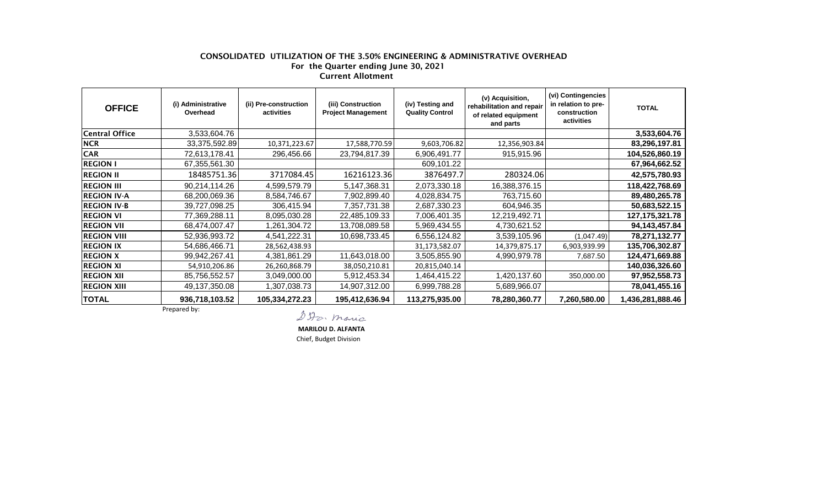## CONSOLIDATED UTILIZATION OF THE 3.50% ENGINEERING & ADMINISTRATIVE OVERHEAD For the Quarter ending June 30, 2021 Current Allotment

| <b>OFFICE</b>         | (i) Administrative<br>Overhead | (ii) Pre-construction<br>activities | (iii) Construction<br><b>Project Management</b> | (iv) Testing and<br><b>Quality Control</b> | (v) Acquisition,<br>rehabilitation and repair<br>of related equipment<br>and parts | (vi) Contingencies<br>in relation to pre-<br>construction<br>activities | <b>TOTAL</b>      |
|-----------------------|--------------------------------|-------------------------------------|-------------------------------------------------|--------------------------------------------|------------------------------------------------------------------------------------|-------------------------------------------------------------------------|-------------------|
| <b>Central Office</b> | 3,533,604.76                   |                                     |                                                 |                                            |                                                                                    |                                                                         | 3,533,604.76      |
| <b>NCR</b>            | 33,375,592.89                  | 10,371,223.67                       | 17,588,770.59                                   | 9,603,706.82                               | 12,356,903.84                                                                      |                                                                         | 83,296,197.81     |
| <b>CAR</b>            | 72,613,178.41                  | 296,456.66                          | 23,794,817.39                                   | 6,906,491.77                               | 915,915.96                                                                         |                                                                         | 104,526,860.19    |
| <b>REGION I</b>       | 67,355,561.30                  |                                     |                                                 | 609,101.22                                 |                                                                                    |                                                                         | 67,964,662.52     |
| <b>REGION II</b>      | 18485751.36                    | 3717084.45                          | 16216123.36                                     | 3876497.7                                  | 280324.06                                                                          |                                                                         | 42,575,780.93     |
| <b>REGION III</b>     | 90,214,114.26                  | 4,599,579.79                        | 5,147,368.31                                    | 2,073,330.18                               | 16,388,376.15                                                                      |                                                                         | 118,422,768.69    |
| <b>REGION IV-A</b>    | 68,200,069.36                  | 8,584,746.67                        | 7,902,899.40                                    | 4,028,834.75                               | 763,715.60                                                                         |                                                                         | 89,480,265.78     |
| <b>REGION IV-B</b>    | 39,727,098.25                  | 306,415.94                          | 7,357,731.38                                    | 2,687,330.23                               | 604,946.35                                                                         |                                                                         | 50,683,522.15     |
| <b>REGION VI</b>      | 77,369,288.11                  | 8,095,030.28                        | 22,485,109.33                                   | 7,006,401.35                               | 12,219,492.71                                                                      |                                                                         | 127, 175, 321. 78 |
| <b>REGION VII</b>     | 68,474,007.47                  | 1,261,304.72                        | 13,708,089.58                                   | 5,969,434.55                               | 4,730,621.52                                                                       |                                                                         | 94, 143, 457.84   |
| <b>REGION VIII</b>    | 52,936,993.72                  | 4,541,222.31                        | 10,698,733.45                                   | 6,556,124.82                               | 3,539,105.96                                                                       | (1,047.49)                                                              | 78,271,132.77     |
| <b>REGION IX</b>      | 54,686,466.71                  | 28,562,438.93                       |                                                 | 31,173,582.07                              | 14,379,875.17                                                                      | 6,903,939.99                                                            | 135,706,302.87    |
| <b>REGION X</b>       | 99,942,267.41                  | 4,381,861.29                        | 11,643,018.00                                   | 3,505,855.90                               | 4,990,979.78                                                                       | 7,687.50                                                                | 124,471,669.88    |
| <b>REGION XI</b>      | 54,910,206.86                  | 26,260,868.79                       | 38,050,210.81                                   | 20,815,040.14                              |                                                                                    |                                                                         | 140,036,326.60    |
| <b>REGION XII</b>     | 85,756,552.57                  | 3,049,000.00                        | 5,912,453.34                                    | 1,464,415.22                               | 1,420,137.60                                                                       | 350,000.00                                                              | 97,952,558.73     |
| <b>REGION XIII</b>    | 49,137,350.08                  | 1,307,038.73                        | 14,907,312.00                                   | 6,999,788.28                               | 5,689,966.07                                                                       |                                                                         | 78,041,455.16     |
| <b>TOTAL</b>          | 936,718,103.52                 | 105,334,272.23                      | 195,412,636.94                                  | 113,275,935.00                             | 78,280,360.77                                                                      | 7,260,580.00                                                            | 1,436,281,888.46  |

Prepared by:

DDo. maria

 **MARILOU D. ALFANTA**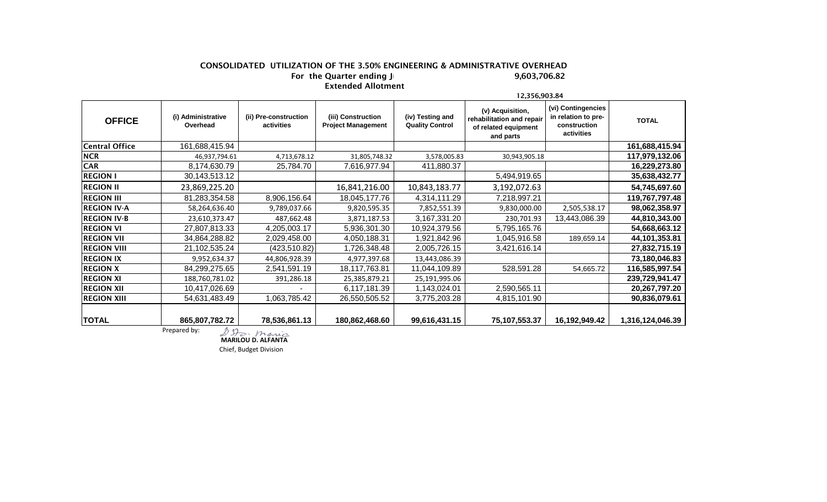## CONSOLIDATED UTILIZATION OF THE 3.50% ENGINEERING & ADMINISTRATIVE OVERHEAD<br>For the Quarter ending J For the Quarter ending J Extended Allotment

|                       |                                |                                     |                                                 |                                            | 12,356,903.84                                                                      |                                                                         |                  |  |  |
|-----------------------|--------------------------------|-------------------------------------|-------------------------------------------------|--------------------------------------------|------------------------------------------------------------------------------------|-------------------------------------------------------------------------|------------------|--|--|
| <b>OFFICE</b>         | (i) Administrative<br>Overhead | (ii) Pre-construction<br>activities | (iii) Construction<br><b>Project Management</b> | (iv) Testing and<br><b>Quality Control</b> | (v) Acquisition,<br>rehabilitation and repair<br>of related equipment<br>and parts | (vi) Contingencies<br>in relation to pre-<br>construction<br>activities | <b>TOTAL</b>     |  |  |
| <b>Central Office</b> | 161,688,415.94                 |                                     |                                                 |                                            |                                                                                    |                                                                         | 161,688,415.94   |  |  |
| <b>NCR</b>            | 46,937,794.61                  | 4,713,678.12                        | 31,805,748.32                                   | 3,578,005.83                               | 30,943,905.18                                                                      |                                                                         | 117,979,132.06   |  |  |
| <b>CAR</b>            | 8,174,630.79                   | 25,784.70                           | 7,616,977.94                                    | 411,880.37                                 |                                                                                    |                                                                         | 16,229,273.80    |  |  |
| <b>REGION I</b>       | 30,143,513.12                  |                                     |                                                 |                                            | 5,494,919.65                                                                       |                                                                         | 35,638,432.77    |  |  |
| <b>REGION II</b>      | 23,869,225.20                  |                                     | 16,841,216.00                                   | 10,843,183.77                              | 3,192,072.63                                                                       |                                                                         | 54,745,697.60    |  |  |
| <b>REGION III</b>     | 81,283,354.58                  | 8,906,156.64                        | 18,045,177.76                                   | 4,314,111.29                               | 7,218,997.21                                                                       |                                                                         | 119,767,797.48   |  |  |
| <b>REGION IV-A</b>    | 58,264,636.40                  | 9,789,037.66                        | 9,820,595.35                                    | 7,852,551.39                               | 9,830,000.00                                                                       | 2,505,538.17                                                            | 98,062,358.97    |  |  |
| <b>REGION IV-B</b>    | 23,610,373.47                  | 487,662.48                          | 3,871,187.53                                    | 3,167,331.20                               | 230,701.93                                                                         | 13,443,086.39                                                           | 44,810,343.00    |  |  |
| <b>REGION VI</b>      | 27,807,813.33                  | 4,205,003.17                        | 5,936,301.30                                    | 10,924,379.56                              | 5,795,165.76                                                                       |                                                                         | 54,668,663.12    |  |  |
| <b>REGION VII</b>     | 34,864,288.82                  | 2,029,458.00                        | 4,050,188.31                                    | 1,921,842.96                               | 045,916.58                                                                         | 189,659.14                                                              | 44, 101, 353.81  |  |  |
| <b>REGION VIII</b>    | 21,102,535.24                  | (423, 510.82)                       | 1,726,348.48                                    | 2,005,726.15                               | 3,421,616.14                                                                       |                                                                         | 27,832,715.19    |  |  |
| <b>REGION IX</b>      | 9,952,634.37                   | 44,806,928.39                       | 4,977,397.68                                    | 13,443,086.39                              |                                                                                    |                                                                         | 73,180,046.83    |  |  |
| <b>REGION X</b>       | 84,299,275.65                  | 2,541,591.19                        | 18,117,763.81                                   | 11,044,109.89                              | 528,591.28                                                                         | 54,665.72                                                               | 116,585,997.54   |  |  |
| <b>REGION XI</b>      | 188,760,781.02                 | 391,286.18                          | 25,385,879.21                                   | 25,191,995.06                              |                                                                                    |                                                                         | 239,729,941.47   |  |  |
| <b>REGION XII</b>     | 10,417,026.69                  |                                     | 6,117,181.39                                    | 1,143,024.01                               | 2,590,565.11                                                                       |                                                                         | 20,267,797.20    |  |  |
| <b>REGION XIII</b>    | 54,631,483.49                  | 1,063,785.42                        | 26,550,505.52                                   | 3,775,203.28                               | 4,815,101.90                                                                       |                                                                         | 90,836,079.61    |  |  |
| <b>TOTAL</b>          | 865,807,782.72                 | 78,536,861.13                       | 180,862,468.60                                  | 99,616,431.15                              | 75,107,553.37                                                                      | 16,192,949.42                                                           | 1,316,124,046.39 |  |  |

Prepared by:  **MARILOU D. ALFANTA**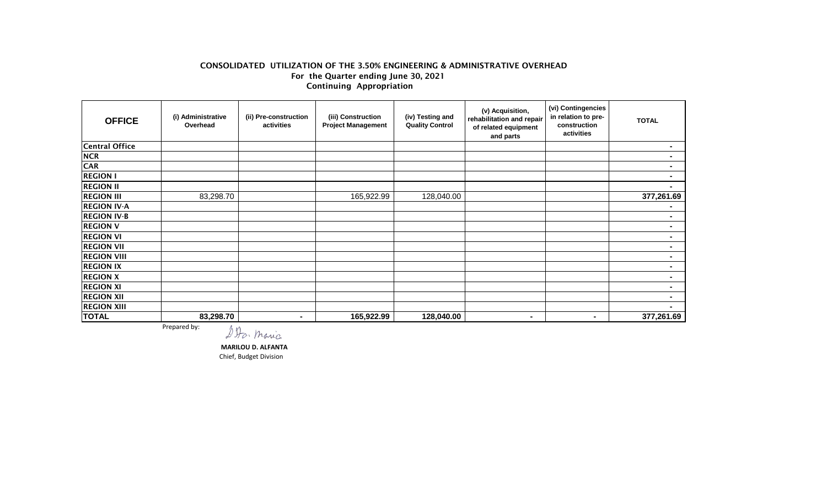## CONSOLIDATED UTILIZATION OF THE 3.50% ENGINEERING & ADMINISTRATIVE OVERHEAD For the Quarter ending June 30, 2021 Continuing Appropriation

| <b>OFFICE</b>                                    | (i) Administrative<br>Overhead | (ii) Pre-construction<br>activities | (iii) Construction<br><b>Project Management</b> | (iv) Testing and<br><b>Quality Control</b> | (v) Acquisition,<br>rehabilitation and repair<br>of related equipment<br>and parts | (vi) Contingencies<br>in relation to pre-<br>construction<br>activities | <b>TOTAL</b> |  |
|--------------------------------------------------|--------------------------------|-------------------------------------|-------------------------------------------------|--------------------------------------------|------------------------------------------------------------------------------------|-------------------------------------------------------------------------|--------------|--|
| Central Office                                   |                                |                                     |                                                 |                                            |                                                                                    |                                                                         |              |  |
| <b>NCR</b>                                       |                                |                                     |                                                 |                                            |                                                                                    |                                                                         |              |  |
| <b>CAR</b>                                       |                                |                                     |                                                 |                                            |                                                                                    |                                                                         |              |  |
| <b>REGION I</b>                                  |                                |                                     |                                                 |                                            |                                                                                    |                                                                         |              |  |
| <b>REGION II</b>                                 |                                |                                     |                                                 |                                            |                                                                                    |                                                                         |              |  |
| <b>REGION III</b>                                | 83,298.70                      |                                     | 165,922.99                                      | 128,040.00                                 |                                                                                    |                                                                         | 377,261.69   |  |
| <b>REGION IV-A</b>                               |                                |                                     |                                                 |                                            |                                                                                    |                                                                         |              |  |
| <b>REGION IV-B</b>                               |                                |                                     |                                                 |                                            |                                                                                    |                                                                         |              |  |
| <b>REGION V</b>                                  |                                |                                     |                                                 |                                            |                                                                                    |                                                                         |              |  |
| <b>REGION VI</b>                                 |                                |                                     |                                                 |                                            |                                                                                    |                                                                         |              |  |
| <b>REGION VII</b>                                |                                |                                     |                                                 |                                            |                                                                                    |                                                                         |              |  |
| <b>REGION VIII</b>                               |                                |                                     |                                                 |                                            |                                                                                    |                                                                         |              |  |
| <b>REGION IX</b>                                 |                                |                                     |                                                 |                                            |                                                                                    |                                                                         | $\sim$       |  |
| <b>REGION X</b>                                  |                                |                                     |                                                 |                                            |                                                                                    |                                                                         |              |  |
| <b>REGION XI</b>                                 |                                |                                     |                                                 |                                            |                                                                                    |                                                                         |              |  |
| <b>REGION XII</b>                                |                                |                                     |                                                 |                                            |                                                                                    |                                                                         |              |  |
| <b>REGION XIII</b>                               |                                |                                     |                                                 |                                            |                                                                                    |                                                                         |              |  |
| <b>TOTAL</b>                                     | 83,298.70                      | $\sim$                              | 165,922.99                                      | 128,040.00                                 | $\blacksquare$                                                                     | ۰                                                                       | 377,261.69   |  |
| Prepared by:<br>4.89<br><b>Contract Contract</b> |                                |                                     |                                                 |                                            |                                                                                    |                                                                         |              |  |

DDo. maria

 **MARILOU D. ALFANTA**